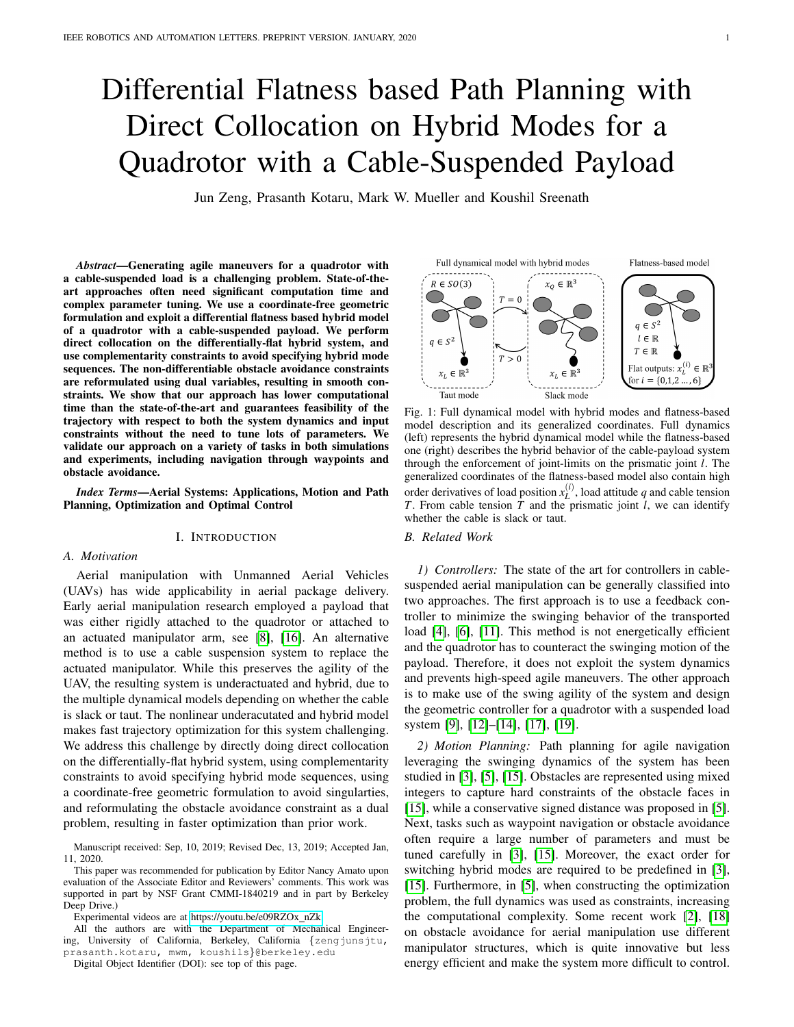# Differential Flatness based Path Planning with Direct Collocation on Hybrid Modes for a Quadrotor with a Cable-Suspended Payload

Jun Zeng, Prasanth Kotaru, Mark W. Mueller and Koushil Sreenath

*Abstract*—Generating agile maneuvers for a quadrotor with a cable-suspended load is a challenging problem. State-of-theart approaches often need significant computation time and complex parameter tuning. We use a coordinate-free geometric formulation and exploit a differential flatness based hybrid model of a quadrotor with a cable-suspended payload. We perform direct collocation on the differentially-flat hybrid system, and use complementarity constraints to avoid specifying hybrid mode sequences. The non-differentiable obstacle avoidance constraints are reformulated using dual variables, resulting in smooth constraints. We show that our approach has lower computational time than the state-of-the-art and guarantees feasibility of the trajectory with respect to both the system dynamics and input constraints without the need to tune lots of parameters. We validate our approach on a variety of tasks in both simulations and experiments, including navigation through waypoints and obstacle avoidance.

*Index Terms*—Aerial Systems: Applications, Motion and Path Planning, Optimization and Optimal Control

#### I. INTRODUCTION

## *A. Motivation*

Aerial manipulation with Unmanned Aerial Vehicles (UAVs) has wide applicability in aerial package delivery. Early aerial manipulation research employed a payload that was either rigidly attached to the quadrotor or attached to an actuated manipulator arm, see [\[8\]](#page-7-0), [\[16\]](#page-7-1). An alternative method is to use a cable suspension system to replace the actuated manipulator. While this preserves the agility of the UAV, the resulting system is underactuated and hybrid, due to the multiple dynamical models depending on whether the cable is slack or taut. The nonlinear underacutated and hybrid model makes fast trajectory optimization for this system challenging. We address this challenge by directly doing direct collocation on the differentially-flat hybrid system, using complementarity constraints to avoid specifying hybrid mode sequences, using a coordinate-free geometric formulation to avoid singularties, and reformulating the obstacle avoidance constraint as a dual problem, resulting in faster optimization than prior work.

Manuscript received: Sep, 10, 2019; Revised Dec, 13, 2019; Accepted Jan, 11, 2020.

This paper was recommended for publication by Editor Nancy Amato upon evaluation of the Associate Editor and Reviewers' comments. This work was supported in part by NSF Grant CMMI-1840219 and in part by Berkeley Deep Drive.)

Experimental videos are at [https://youtu.be/e09RZOx](https://youtu.be/e09RZOx_nZk) nZk.

All the authors are with the Department of Mechanical Engineering, University of California, Berkeley, California {zengjunsjtu, prasanth.kotaru, mwm, koushils}@berkeley.edu

Digital Object Identifier (DOI): see top of this page.

<span id="page-0-0"></span>

Fig. 1: Full dynamical model with hybrid modes and flatness-based model description and its generalized coordinates. Full dynamics (left) represents the hybrid dynamical model while the flatness-based one (right) describes the hybrid behavior of the cable-payload system through the enforcement of joint-limits on the prismatic joint *l*. The generalized coordinates of the flatness-based model also contain high order derivatives of load position  $x_L^{(i)}$ , load attitude *q* and cable tension *T*. From cable tension  $\hat{T}$  and the prismatic joint *l*, we can identify whether the cable is slack or taut.

#### *B. Related Work*

*1) Controllers:* The state of the art for controllers in cablesuspended aerial manipulation can be generally classified into two approaches. The first approach is to use a feedback controller to minimize the swinging behavior of the transported load [\[4\]](#page-7-2), [\[6\]](#page-7-3), [\[11\]](#page-7-4). This method is not energetically efficient and the quadrotor has to counteract the swinging motion of the payload. Therefore, it does not exploit the system dynamics and prevents high-speed agile maneuvers. The other approach is to make use of the swing agility of the system and design the geometric controller for a quadrotor with a suspended load system [\[9\]](#page-7-5), [\[12\]](#page-7-6)–[\[14\]](#page-7-7), [\[17\]](#page-8-0), [\[19\]](#page-8-1).

*2) Motion Planning:* Path planning for agile navigation leveraging the swinging dynamics of the system has been studied in [\[3\]](#page-7-8), [\[5\]](#page-7-9), [\[15\]](#page-7-10). Obstacles are represented using mixed integers to capture hard constraints of the obstacle faces in [\[15\]](#page-7-10), while a conservative signed distance was proposed in [\[5\]](#page-7-9). Next, tasks such as waypoint navigation or obstacle avoidance often require a large number of parameters and must be tuned carefully in [\[3\]](#page-7-8), [\[15\]](#page-7-10). Moreover, the exact order for switching hybrid modes are required to be predefined in [\[3\]](#page-7-8), [\[15\]](#page-7-10). Furthermore, in [\[5\]](#page-7-9), when constructing the optimization problem, the full dynamics was used as constraints, increasing the computational complexity. Some recent work [\[2\]](#page-7-11), [\[18\]](#page-8-2) on obstacle avoidance for aerial manipulation use different manipulator structures, which is quite innovative but less energy efficient and make the system more difficult to control.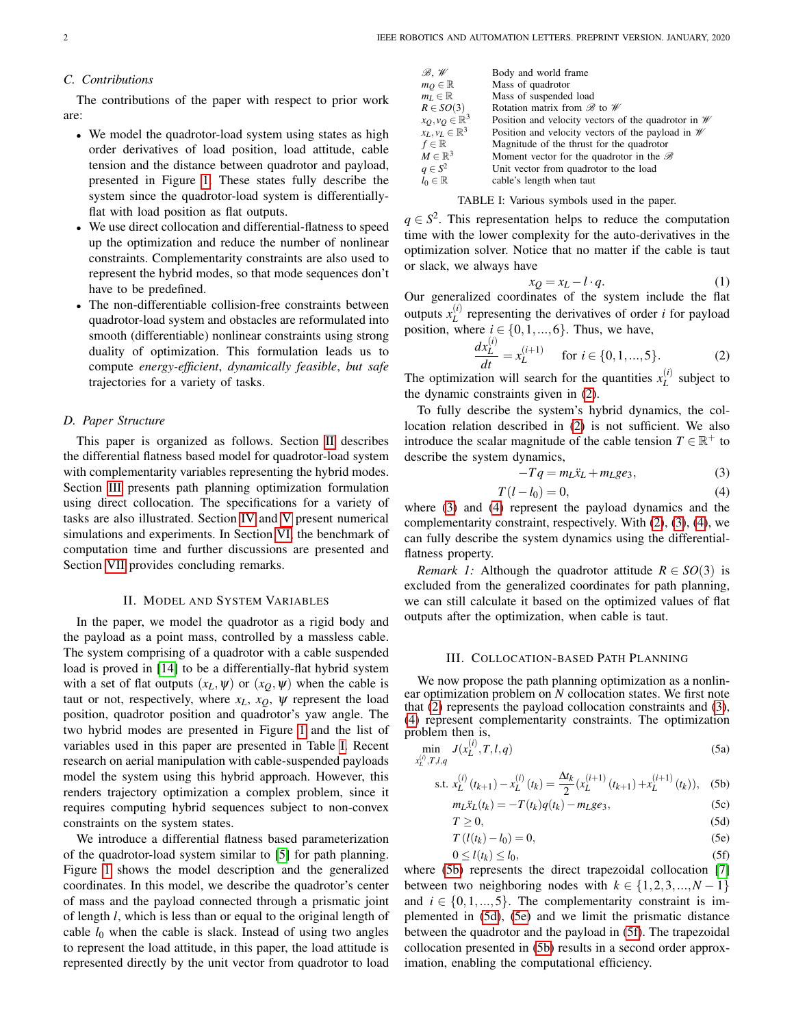## *C. Contributions*

The contributions of the paper with respect to prior work are:

- We model the quadrotor-load system using states as high order derivatives of load position, load attitude, cable tension and the distance between quadrotor and payload, presented in Figure [1.](#page-0-0) These states fully describe the system since the quadrotor-load system is differentiallyflat with load position as flat outputs.
- We use direct collocation and differential-flatness to speed up the optimization and reduce the number of nonlinear constraints. Complementarity constraints are also used to represent the hybrid modes, so that mode sequences don't have to be predefined.
- The non-differentiable collision-free constraints between quadrotor-load system and obstacles are reformulated into smooth (differentiable) nonlinear constraints using strong duality of optimization. This formulation leads us to compute *energy-efficient*, *dynamically feasible*, *but safe* trajectories for a variety of tasks.

## *D. Paper Structure*

This paper is organized as follows. Section [II](#page-1-0) describes the differential flatness based model for quadrotor-load system with complementarity variables representing the hybrid modes. Section [III](#page-1-1) presents path planning optimization formulation using direct collocation. The specifications for a variety of tasks are also illustrated. Section [IV](#page-4-0) and [V](#page-4-1) present numerical simulations and experiments. In Section [VI,](#page-5-0) the benchmark of computation time and further discussions are presented and Section [VII](#page-6-0) provides concluding remarks.

## II. MODEL AND SYSTEM VARIABLES

<span id="page-1-0"></span>In the paper, we model the quadrotor as a rigid body and the payload as a point mass, controlled by a massless cable. The system comprising of a quadrotor with a cable suspended load is proved in [\[14\]](#page-7-7) to be a differentially-flat hybrid system with a set of flat outputs  $(x_L, \psi)$  or  $(x_O, \psi)$  when the cable is taut or not, respectively, where  $x_L$ ,  $x_O$ ,  $\psi$  represent the load position, quadrotor position and quadrotor's yaw angle. The two hybrid modes are presented in Figure [1](#page-0-0) and the list of variables used in this paper are presented in Table [I.](#page-1-2) Recent research on aerial manipulation with cable-suspended payloads model the system using this hybrid approach. However, this renders trajectory optimization a complex problem, since it requires computing hybrid sequences subject to non-convex constraints on the system states.

We introduce a differential flatness based parameterization of the quadrotor-load system similar to [\[5\]](#page-7-9) for path planning. Figure [1](#page-0-0) shows the model description and the generalized coordinates. In this model, we describe the quadrotor's center of mass and the payload connected through a prismatic joint of length *l*, which is less than or equal to the original length of cable  $l_0$  when the cable is slack. Instead of using two angles to represent the load attitude, in this paper, the load attitude is represented directly by the unit vector from quadrotor to load

<span id="page-1-2"></span>

| $\mathscr{B},\mathscr{W}$   | Body and world frame                                           |
|-----------------------------|----------------------------------------------------------------|
| $m_O \in \mathbb{R}$        | Mass of quadrotor                                              |
| $m_L \in \mathbb{R}$        | Mass of suspended load                                         |
| $R \in SO(3)$               | Rotation matrix from $\mathscr{B}$ to $\mathscr{W}$            |
| $x_Q, v_Q \in \mathbb{R}^3$ | Position and velocity vectors of the quadrotor in $\mathcal W$ |
| $x_L, y_L \in \mathbb{R}^3$ | Position and velocity vectors of the payload in $\mathcal W$   |
| $f \in \mathbb{R}$          | Magnitude of the thrust for the quadrotor                      |
| $M \in \mathbb{R}^3$        | Moment vector for the quadrotor in the $\mathscr B$            |
| $q \in S^2$                 | Unit vector from quadrotor to the load                         |
| $l_0 \in \mathbb{R}$        | cable's length when taut                                       |

#### TABLE I: Various symbols used in the paper.

 $q \in S^2$ . This representation helps to reduce the computation time with the lower complexity for the auto-derivatives in the optimization solver. Notice that no matter if the cable is taut or slack, we always have

$$
x_Q = x_L - l \cdot q. \tag{1}
$$

Our generalized coordinates of the system include the flat outputs  $x_L^{(i)}$  $L^{(i)}$  representing the derivatives of order *i* for payload position, where  $i \in \{0, 1, ..., 6\}$ . Thus, we have,

<span id="page-1-3"></span>
$$
\frac{dx_L^{(i)}}{dt} = x_L^{(i+1)} \quad \text{for } i \in \{0, 1, ..., 5\}.
$$
 (2)

The optimization will search for the quantities  $x_L^{(i)}$  $L^{(t)}$  subject to the dynamic constraints given in [\(2\)](#page-1-3).

To fully describe the system's hybrid dynamics, the collocation relation described in [\(2\)](#page-1-3) is not sufficient. We also introduce the scalar magnitude of the cable tension  $T \in \mathbb{R}^+$  to describe the system dynamics,

<span id="page-1-4"></span>
$$
-Tq = m_L \ddot{x}_L + m_L ge_3,\tag{3}
$$

<span id="page-1-5"></span>
$$
T(l - l_0) = 0,\t\t(4)
$$

where [\(3\)](#page-1-4) and [\(4\)](#page-1-5) represent the payload dynamics and the complementarity constraint, respectively. With [\(2\)](#page-1-3), [\(3\)](#page-1-4), [\(4\)](#page-1-5), we can fully describe the system dynamics using the differentialflatness property.

*Remark 1:* Although the quadrotor attitude  $R \in SO(3)$  is excluded from the generalized coordinates for path planning, we can still calculate it based on the optimized values of flat outputs after the optimization, when cable is taut.

#### III. COLLOCATION-BASED PATH PLANNING

<span id="page-1-1"></span>We now propose the path planning optimization as a nonlinear optimization problem on *N* collocation states. We first note that [\(2\)](#page-1-3) represents the payload collocation constraints and [\(3\)](#page-1-4), [\(4\)](#page-1-5) represent complementarity constraints. The optimization problem then is,

$$
\min_{x_L^{(i)}, T, l, q} J(x_L^{(i)}, T, l, q) \tag{5a}
$$

s.t. 
$$
x_L^{(i)}(t_{k+1}) - x_L^{(i)}(t_k) = \frac{\Delta t_k}{2} (x_L^{(i+1)}(t_{k+1}) + x_L^{(i+1)}(t_k)),
$$
 (5b)

<span id="page-1-7"></span><span id="page-1-6"></span>
$$
m_L \ddot{x}_L(t_k) = -T(t_k)q(t_k) - m_L g e_3,\tag{5c}
$$

<span id="page-1-8"></span>
$$
T \ge 0,\tag{5d}
$$

$$
T(l(t_k) - l_0) = 0,
$$
\n<sup>(5e)</sup>

<span id="page-1-9"></span>
$$
0 \le l(t_k) \le l_0,\tag{5f}
$$

where [\(5b\)](#page-1-6) represents the direct trapezoidal collocation [\[7\]](#page-7-12) between two neighboring nodes with  $k \in \{1, 2, 3, ..., N - 1\}$ and  $i \in \{0, 1, ..., 5\}$ . The complementarity constraint is implemented in [\(5d\)](#page-1-7), [\(5e\)](#page-1-8) and we limit the prismatic distance between the quadrotor and the payload in [\(5f\)](#page-1-9). The trapezoidal collocation presented in [\(5b\)](#page-1-6) results in a second order approximation, enabling the computational efficiency.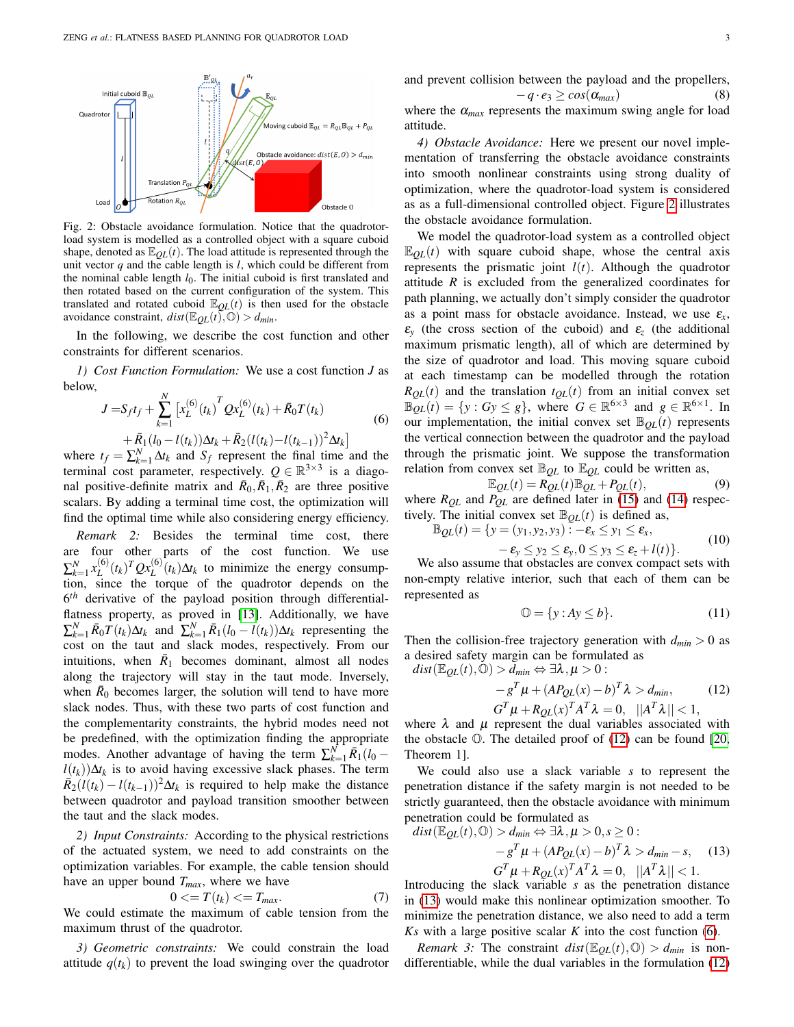<span id="page-2-0"></span>

Fig. 2: Obstacle avoidance formulation. Notice that the quadrotorload system is modelled as a controlled object with a square cuboid shape, denoted as  $\mathbb{E}_{OL}(t)$ . The load attitude is represented through the unit vector *q* and the cable length is *l*, which could be different from the nominal cable length  $l_0$ . The initial cuboid is first translated and then rotated based on the current configuration of the system. This translated and rotated cuboid  $\mathbb{E}_{QL}(t)$  is then used for the obstacle avoidance constraint,  $dist(\mathbb{E}_{OL}(t),\mathbb{O}) > d_{min}$ .

In the following, we describe the cost function and other constraints for different scenarios.

*1) Cost Function Formulation:* We use a cost function *J* as below,

$$
J = S_f t_f + \sum_{k=1}^{N} \left[ x_L^{(6)}(t_k) \right]^T Q x_L^{(6)}(t_k) + \bar{R}_0 T(t_k)
$$
  
+  $\bar{R}_1 (l_0 - l(t_k)) \Delta t_k + \bar{R}_2 (l(t_k) - l(t_{k-1}))^2 \Delta t_k$  (6)

<span id="page-2-3"></span>where  $t_f = \sum_{k=1}^{N} \Delta t_k$  and  $S_f$  represent the final time and the terminal cost parameter, respectively.  $Q \in \mathbb{R}^{3 \times 3}$  is a diagonal positive-definite matrix and  $\bar{R}_0$ ,  $\bar{R}_1$ ,  $\bar{R}_2$  are three positive scalars. By adding a terminal time cost, the optimization will find the optimal time while also considering energy efficiency.

*Remark 2:* Besides the terminal time cost, there are four other parts of the cost function. We use  $\sum_{k=1}^{N} x_L^{(6)}$  $L^{(6)}(t_k)$ <sup>T</sup> $Qx_L^{(6)}(t_k)\Delta t_k$  to minimize the energy consumption, since the torque of the quadrotor depends on the 6 *th* derivative of the payload position through differentialflatness property, as proved in [\[13\]](#page-7-13). Additionally, we have  $\sum_{k=1}^{N} \bar{R}_0 T(t_k) \Delta t_k$  and  $\sum_{k=1}^{N} \bar{R}_1 (l_0 - l(t_k)) \Delta t_k$  representing the cost on the taut and slack modes, respectively. From our intuitions, when  $\bar{R}_1$  becomes dominant, almost all nodes along the trajectory will stay in the taut mode. Inversely, when  $\bar{R}_0$  becomes larger, the solution will tend to have more slack nodes. Thus, with these two parts of cost function and the complementarity constraints, the hybrid modes need not be predefined, with the optimization finding the appropriate modes. Another advantage of having the term  $\sum_{k=1}^{N} \bar{R}_1(l_0$  $l(t_k)$ )∆ $t_k$  is to avoid having excessive slack phases. The term  $\overline{R}_2(l(t_k) - l(t_{k-1}))^2 \Delta t_k$  is required to help make the distance between quadrotor and payload transition smoother between the taut and the slack modes.

*2) Input Constraints:* According to the physical restrictions of the actuated system, we need to add constraints on the optimization variables. For example, the cable tension should have an upper bound *Tmax*, where we have

$$
0 \le T(t_k) \le T_{max}.\tag{7}
$$

We could estimate the maximum of cable tension from the maximum thrust of the quadrotor.

*3) Geometric constraints:* We could constrain the load attitude  $q(t_k)$  to prevent the load swinging over the quadrotor

and prevent collision between the payload and the propellers,  

$$
-q \cdot e_3 \ge \cos(\alpha_{max})
$$
 (8)

where the  $\alpha_{max}$  represents the maximum swing angle for load attitude.

*4) Obstacle Avoidance:* Here we present our novel implementation of transferring the obstacle avoidance constraints into smooth nonlinear constraints using strong duality of optimization, where the quadrotor-load system is considered as as a full-dimensional controlled object. Figure [2](#page-2-0) illustrates the obstacle avoidance formulation.

We model the quadrotor-load system as a controlled object  $\mathbb{E}_{OL}(t)$  with square cuboid shape, whose the central axis represents the prismatic joint  $l(t)$ . Although the quadrotor attitude *R* is excluded from the generalized coordinates for path planning, we actually don't simply consider the quadrotor as a point mass for obstacle avoidance. Instead, we use  $\varepsilon_x$ ,  $\varepsilon$ <sub>*y*</sub> (the cross section of the cuboid) and  $\varepsilon$ <sub>*z*</sub> (the additional maximum prismatic length), all of which are determined by the size of quadrotor and load. This moving square cuboid at each timestamp can be modelled through the rotation  $R_{QL}(t)$  and the translation  $t_{QL}(t)$  from an initial convex set  $\mathbb{B}_{QL}(t) = \{y : Gy \leq g\}$ , where  $G \in \mathbb{R}^{6 \times 3}$  and  $g \in \mathbb{R}^{6 \times 1}$ . In our implementation, the initial convex set  $\mathbb{B}_{OL}(t)$  represents the vertical connection between the quadrotor and the payload through the prismatic joint. We suppose the transformation relation from convex set  $\mathbb{B}_{OL}$  to  $\mathbb{E}_{OL}$  could be written as,

$$
\mathbb{E}_{QL}(t) = \widetilde{R_{QL}}(t) \mathbb{B}_{QL} + P_{QL}(t),
$$
\nwhere  $R_{QL}$  and  $P_{QL}$  are defined later in (15) and (14) respectively. The initial convex set  $\mathbb{B}_{QL}(t)$  is defined as,

 $\mathbb{B}_{QL}(t) = \{y = (y_1, y_2, y_3) \mid \mathcal{E} - \mathcal{E}_x \leq y_1 \leq \varepsilon_x,$ 

$$
-\varepsilon_y \leq y_2 \leq \varepsilon_y, 0 \leq y_3 \leq \varepsilon_z + l(t) \}.
$$
 (10)

We also assume that obstacles are convex compact sets with non-empty relative interior, such that each of them can be represented as

<span id="page-2-4"></span>
$$
\mathbb{O} = \{ y : Ay \le b \}. \tag{11}
$$

Then the collision-free trajectory generation with  $d_{min} > 0$  as a desired safety margin can be formulated as  $dist(\mathbb{F})$ 

<span id="page-2-1"></span>
$$
us_l(\mathbb{E}Q_L(l),\mathbb{U})>a_{min}\Leftrightarrow \exists \lambda,\mu>0:
$$

$$
-g^{T}\mu + (AP_{QL}(x) - b)^{T}\lambda > d_{min},
$$
\n
$$
G^{T}\mu + R_{QL}(x)^{T}A^{T}\lambda = 0, \quad ||A^{T}\lambda|| < 1,
$$
\n(12)

where  $\lambda$  and  $\mu$  represent the dual variables associated with the obstacle O. The detailed proof of [\(12\)](#page-2-1) can be found [\[20,](#page-8-3) Theorem 1].

We could also use a slack variable *s* to represent the penetration distance if the safety margin is not needed to be strictly guaranteed, then the obstacle avoidance with minimum penetration could be formulated as

<span id="page-2-2"></span>
$$
dist(\mathbb{E}_{QL}(t), \mathbb{O}) > d_{min} \Leftrightarrow \exists \lambda, \mu > 0, s \ge 0:
$$
  
\n
$$
-g^T \mu + (AP_{QL}(x) - b)^T \lambda > d_{min} - s, \quad (13)
$$
  
\n
$$
G^T \mu + R_{QL}(x)^T A^T \lambda = 0, \quad ||A^T \lambda|| < 1.
$$

Introducing the slack variable *s* as the penetration distance in [\(13\)](#page-2-2) would make this nonlinear optimization smoother. To minimize the penetration distance, we also need to add a term *Ks* with a large positive scalar *K* into the cost function [\(6\)](#page-2-3).

*Remark 3:* The constraint  $dist(\mathbb{E}_{QL}(t), \mathbb{O}) > d_{min}$  is nondifferentiable, while the dual variables in the formulation [\(12\)](#page-2-1)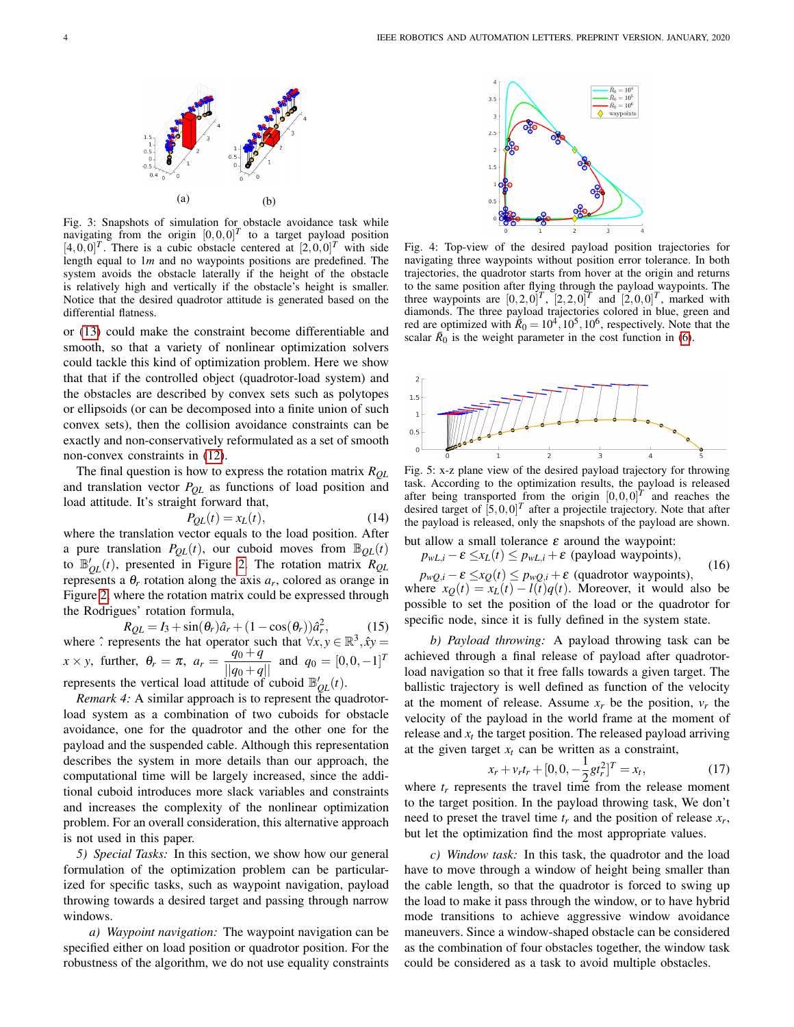<span id="page-3-2"></span>

Fig. 3: Snapshots of simulation for obstacle avoidance task while navigating from the origin  $[0,0,0]^T$  to a target payload position  $[4,0,0]^T$ . There is a cubic obstacle centered at  $[2,0,0]^T$  with side length equal to 1*m* and no waypoints positions are predefined. The system avoids the obstacle laterally if the height of the obstacle is relatively high and vertically if the obstacle's height is smaller. Notice that the desired quadrotor attitude is generated based on the differential flatness.

or [\(13\)](#page-2-2) could make the constraint become differentiable and smooth, so that a variety of nonlinear optimization solvers could tackle this kind of optimization problem. Here we show that that if the controlled object (quadrotor-load system) and the obstacles are described by convex sets such as polytopes or ellipsoids (or can be decomposed into a finite union of such convex sets), then the collision avoidance constraints can be exactly and non-conservatively reformulated as a set of smooth non-convex constraints in [\(12\)](#page-2-1).

The final question is how to express the rotation matrix *RQL* and translation vector *PQL* as functions of load position and load attitude. It's straight forward that,

<span id="page-3-1"></span>
$$
P_{QL}(t) = x_L(t),\tag{14}
$$

where the translation vector equals to the load position. After a pure translation  $P_{QL}(t)$ , our cuboid moves from  $\mathbb{B}_{QL}(t)$ to  $\mathbb{B}_{QL}'(t)$ , presented in Figure [2.](#page-2-0) The rotation matrix  $R_{QL}$ represents a  $\theta_r$  rotation along the axis  $a_r$ , colored as orange in Figure [2,](#page-2-0) where the rotation matrix could be expressed through the Rodrigues' rotation formula,

<span id="page-3-0"></span>
$$
R_{QL} = I_3 + \sin(\theta_r)\hat{a}_r + (1 - \cos(\theta_r))\hat{a}_r^2, \tag{15}
$$

 $RQL = I_3 + \sin(\sigma_r)a_r + (1 - \cos(\sigma_r))a_r,$  (15)<br>where  $\hat{ }$  represents the hat operator such that  $\forall x, y \in \mathbb{R}^3, \hat{x}y =$  $x \times y$ , further,  $\theta_r = \pi$ ,  $a_r = \frac{q_0 + q}{||q_0 + q||}$  and  $q_0 = [0, 0, -1]^T$ represents the vertical load attitude of cuboid  $\mathbb{B}_{QL}^{\prime}(t)$ .

*Remark 4:* A similar approach is to represent the quadrotorload system as a combination of two cuboids for obstacle avoidance, one for the quadrotor and the other one for the payload and the suspended cable. Although this representation describes the system in more details than our approach, the computational time will be largely increased, since the additional cuboid introduces more slack variables and constraints and increases the complexity of the nonlinear optimization problem. For an overall consideration, this alternative approach is not used in this paper.

*5) Special Tasks:* In this section, we show how our general formulation of the optimization problem can be particularized for specific tasks, such as waypoint navigation, payload throwing towards a desired target and passing through narrow windows.

*a) Waypoint navigation:* The waypoint navigation can be specified either on load position or quadrotor position. For the robustness of the algorithm, we do not use equality constraints

<span id="page-3-3"></span>

Fig. 4: Top-view of the desired payload position trajectories for navigating three waypoints without position error tolerance. In both trajectories, the quadrotor starts from hover at the origin and returns to the same position after flying through the payload waypoints. The three waypoints are  $[0, 2, 0]^T$ ,  $[2, 2, 0]^T$  and  $[2, 0, 0]^T$ , marked with diamonds. The three payload trajectories colored in blue, green and red are optimized with  $\dot{\bar{R}}_0 = 10^4, 10^5, 10^6$ , respectively. Note that the scalar  $\bar{R}_0$  is the weight parameter in the cost function in [\(6\)](#page-2-3).

<span id="page-3-4"></span>

Fig. 5: x-z plane view of the desired payload trajectory for throwing task. According to the optimization results, the payload is released after being transported from the origin  $[0,0,0]^T$  and reaches the desired target of  $[5,0,0]^T$  after a projectile trajectory. Note that after the payload is released, only the snapshots of the payload are shown.

but allow a small tolerance  $\varepsilon$  around the waypoint:

$$
p_{wL,i} - \varepsilon \le x_L(t) \le p_{wL,i} + \varepsilon \text{ (payload waypoints)},\tag{16}
$$

 $p_{wQ,i} - \varepsilon \leq x_Q(t) \leq p_{wQ,i} + \varepsilon$  (quadrotor waypoints), where  $x_Q(t) = x_L(t) - l(t)q(t)$ . Moreover, it would also be possible to set the position of the load or the quadrotor for specific node, since it is fully defined in the system state.

*b) Payload throwing:* A payload throwing task can be achieved through a final release of payload after quadrotorload navigation so that it free falls towards a given target. The ballistic trajectory is well defined as function of the velocity at the moment of release. Assume  $x_r$  be the position,  $v_r$  the velocity of the payload in the world frame at the moment of release and  $x_t$  the target position. The released payload arriving at the given target  $x_t$  can be written as a constraint,

$$
x_r + v_r t_r + [0, 0, -\frac{1}{2} g t_r^2]^T = x_t, \tag{17}
$$

where  $t_r$  represents the travel time from the release moment to the target position. In the payload throwing task, We don't need to preset the travel time  $t_r$  and the position of release  $x_r$ , but let the optimization find the most appropriate values.

*c) Window task:* In this task, the quadrotor and the load have to move through a window of height being smaller than the cable length, so that the quadrotor is forced to swing up the load to make it pass through the window, or to have hybrid mode transitions to achieve aggressive window avoidance maneuvers. Since a window-shaped obstacle can be considered as the combination of four obstacles together, the window task could be considered as a task to avoid multiple obstacles.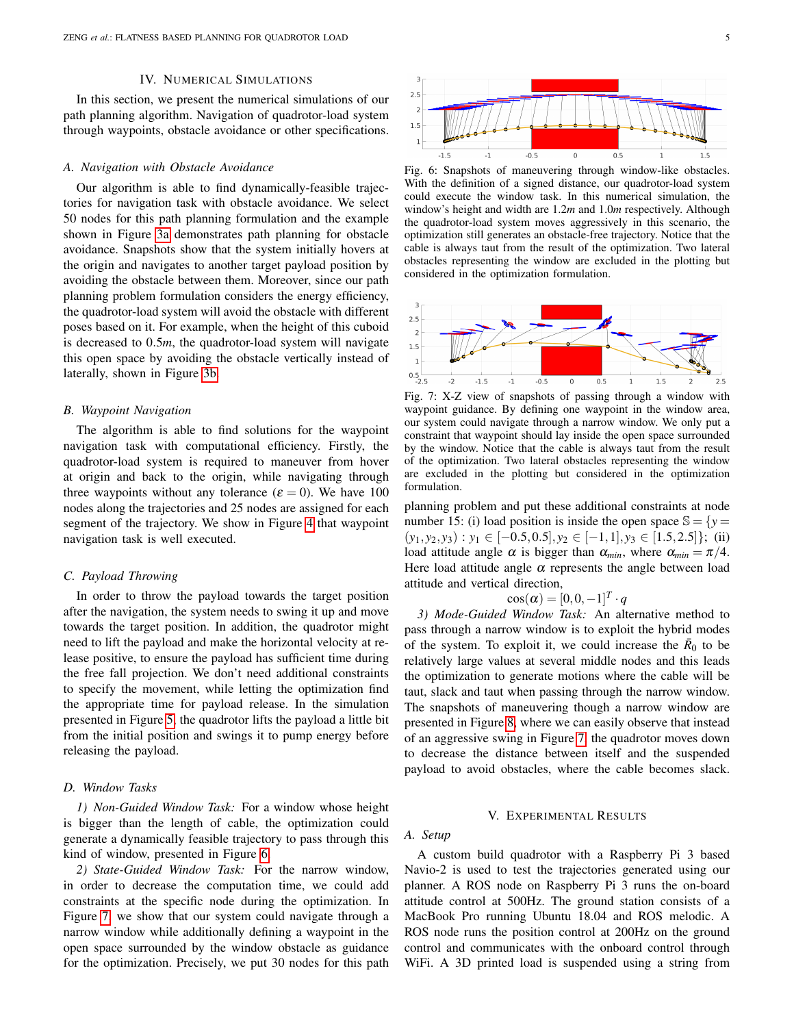#### IV. NUMERICAL SIMULATIONS

<span id="page-4-0"></span>In this section, we present the numerical simulations of our path planning algorithm. Navigation of quadrotor-load system through waypoints, obstacle avoidance or other specifications.

#### *A. Navigation with Obstacle Avoidance*

Our algorithm is able to find dynamically-feasible trajectories for navigation task with obstacle avoidance. We select 50 nodes for this path planning formulation and the example shown in Figure [3a](#page-3-2) demonstrates path planning for obstacle avoidance. Snapshots show that the system initially hovers at the origin and navigates to another target payload position by avoiding the obstacle between them. Moreover, since our path planning problem formulation considers the energy efficiency, the quadrotor-load system will avoid the obstacle with different poses based on it. For example, when the height of this cuboid is decreased to 0.5*m*, the quadrotor-load system will navigate this open space by avoiding the obstacle vertically instead of laterally, shown in Figure [3b.](#page-3-2)

#### *B. Waypoint Navigation*

The algorithm is able to find solutions for the waypoint navigation task with computational efficiency. Firstly, the quadrotor-load system is required to maneuver from hover at origin and back to the origin, while navigating through three waypoints without any tolerance ( $\varepsilon = 0$ ). We have 100 nodes along the trajectories and 25 nodes are assigned for each segment of the trajectory. We show in Figure [4](#page-3-3) that waypoint navigation task is well executed.

## *C. Payload Throwing*

In order to throw the payload towards the target position after the navigation, the system needs to swing it up and move towards the target position. In addition, the quadrotor might need to lift the payload and make the horizontal velocity at release positive, to ensure the payload has sufficient time during the free fall projection. We don't need additional constraints to specify the movement, while letting the optimization find the appropriate time for payload release. In the simulation presented in Figure [5,](#page-3-4) the quadrotor lifts the payload a little bit from the initial position and swings it to pump energy before releasing the payload.

## *D. Window Tasks*

*1) Non-Guided Window Task:* For a window whose height is bigger than the length of cable, the optimization could generate a dynamically feasible trajectory to pass through this kind of window, presented in Figure [6.](#page-4-2)

*2) State-Guided Window Task:* For the narrow window, in order to decrease the computation time, we could add constraints at the specific node during the optimization. In Figure [7,](#page-4-3) we show that our system could navigate through a narrow window while additionally defining a waypoint in the open space surrounded by the window obstacle as guidance for the optimization. Precisely, we put 30 nodes for this path

<span id="page-4-2"></span>

Fig. 6: Snapshots of maneuvering through window-like obstacles. With the definition of a signed distance, our quadrotor-load system could execute the window task. In this numerical simulation, the window's height and width are 1.2*m* and 1.0*m* respectively. Although the quadrotor-load system moves aggressively in this scenario, the optimization still generates an obstacle-free trajectory. Notice that the cable is always taut from the result of the optimization. Two lateral obstacles representing the window are excluded in the plotting but considered in the optimization formulation.

<span id="page-4-3"></span>

Fig. 7: X-Z view of snapshots of passing through a window with waypoint guidance. By defining one waypoint in the window area, our system could navigate through a narrow window. We only put a constraint that waypoint should lay inside the open space surrounded by the window. Notice that the cable is always taut from the result of the optimization. Two lateral obstacles representing the window are excluded in the plotting but considered in the optimization formulation.

planning problem and put these additional constraints at node number 15: (i) load position is inside the open space  $\mathbb{S} = \{y =$  $(y_1, y_2, y_3) : y_1 \in [-0.5, 0.5], y_2 \in [-1, 1], y_3 \in [1.5, 2.5]$ ; (ii) load attitude angle  $\alpha$  is bigger than  $\alpha_{min}$ , where  $\alpha_{min} = \pi/4$ . Here load attitude angle  $\alpha$  represents the angle between load attitude and vertical direction,

$$
\cos(\alpha) = [0, 0, -1]^T \cdot q
$$

*3) Mode-Guided Window Task:* An alternative method to pass through a narrow window is to exploit the hybrid modes of the system. To exploit it, we could increase the  $\bar{R}_0$  to be relatively large values at several middle nodes and this leads the optimization to generate motions where the cable will be taut, slack and taut when passing through the narrow window. The snapshots of maneuvering though a narrow window are presented in Figure [8,](#page-5-1) where we can easily observe that instead of an aggressive swing in Figure [7,](#page-4-3) the quadrotor moves down to decrease the distance between itself and the suspended payload to avoid obstacles, where the cable becomes slack.

#### V. EXPERIMENTAL RESULTS

## <span id="page-4-1"></span>*A. Setup*

A custom build quadrotor with a Raspberry Pi 3 based Navio-2 is used to test the trajectories generated using our planner. A ROS node on Raspberry Pi 3 runs the on-board attitude control at 500Hz. The ground station consists of a MacBook Pro running Ubuntu 18.04 and ROS melodic. A ROS node runs the position control at 200Hz on the ground control and communicates with the onboard control through WiFi. A 3D printed load is suspended using a string from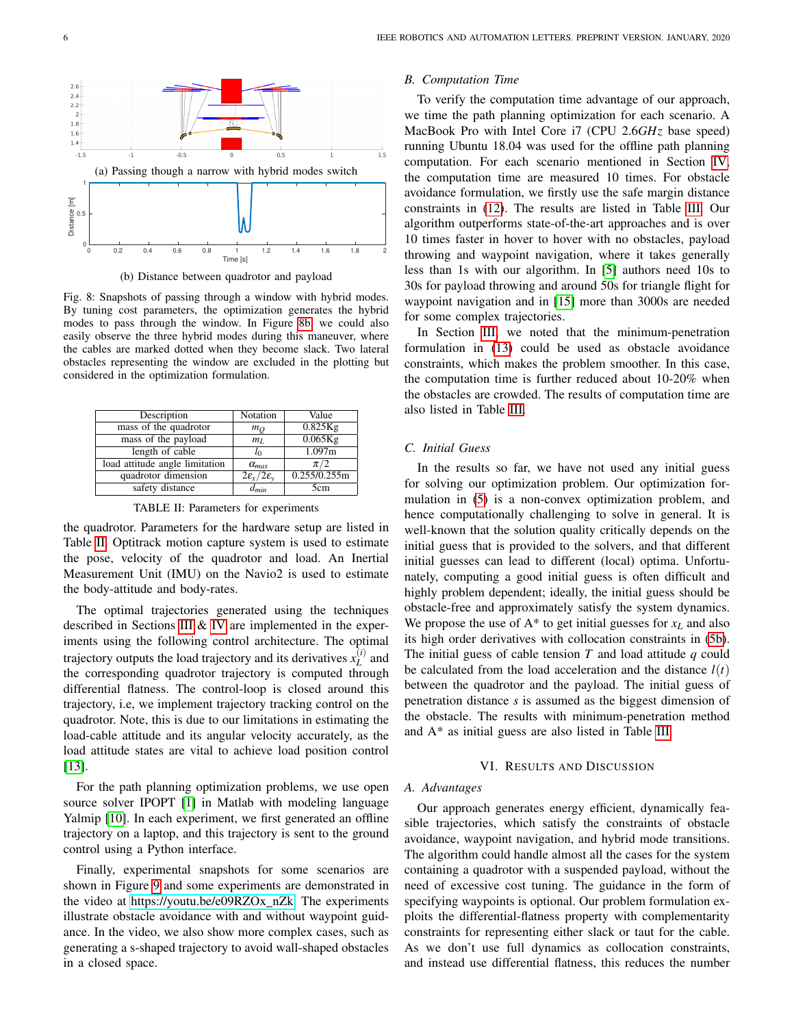<span id="page-5-1"></span>

(b) Distance between quadrotor and payload

Fig. 8: Snapshots of passing through a window with hybrid modes. By tuning cost parameters, the optimization generates the hybrid modes to pass through the window. In Figure [8b,](#page-5-1) we could also easily observe the three hybrid modes during this maneuver, where the cables are marked dotted when they become slack. Two lateral obstacles representing the window are excluded in the plotting but considered in the optimization formulation.

<span id="page-5-2"></span>

| Description                    | Notation                                    | Value        |
|--------------------------------|---------------------------------------------|--------------|
| mass of the quadrotor          | $m_O$                                       | 0.825Kg      |
| mass of the payload            | m <sub>L</sub>                              | $0.065$ Kg   |
| length of cable                | $l_{0}$                                     | 1.097m       |
| load attitude angle limitation | $\alpha_{max}$                              | $\pi/2$      |
| quadrotor dimension            | $2\varepsilon_{\rm x}/2\varepsilon_{\rm y}$ | 0.255/0.255m |
| safety distance                | $d_{min}$                                   | 5cm          |

TABLE II: Parameters for experiments

the quadrotor. Parameters for the hardware setup are listed in Table [II.](#page-5-2) Optitrack motion capture system is used to estimate the pose, velocity of the quadrotor and load. An Inertial Measurement Unit (IMU) on the Navio2 is used to estimate the body-attitude and body-rates.

The optimal trajectories generated using the techniques described in Sections [III](#page-1-1) & [IV](#page-4-0) are implemented in the experiments using the following control architecture. The optimal trajectory outputs the load trajectory and its derivatives  $x_L^{(i)}$  $L^{(l)}$  and the corresponding quadrotor trajectory is computed through differential flatness. The control-loop is closed around this trajectory, i.e, we implement trajectory tracking control on the quadrotor. Note, this is due to our limitations in estimating the load-cable attitude and its angular velocity accurately, as the load attitude states are vital to achieve load position control [\[13\]](#page-7-13).

For the path planning optimization problems, we use open source solver IPOPT [\[1\]](#page-7-14) in Matlab with modeling language Yalmip [\[10\]](#page-7-15). In each experiment, we first generated an offline trajectory on a laptop, and this trajectory is sent to the ground control using a Python interface.

Finally, experimental snapshots for some scenarios are shown in Figure [9](#page-6-1) and some experiments are demonstrated in the video at [https://youtu.be/e09RZOx](https://youtu.be/e09RZOx_nZk)\_nZk. The experiments illustrate obstacle avoidance with and without waypoint guidance. In the video, we also show more complex cases, such as generating a s-shaped trajectory to avoid wall-shaped obstacles in a closed space.

## *B. Computation Time*

To verify the computation time advantage of our approach, we time the path planning optimization for each scenario. A MacBook Pro with Intel Core i7 (CPU 2.6*GHz* base speed) running Ubuntu 18.04 was used for the offline path planning computation. For each scenario mentioned in Section [IV,](#page-4-0) the computation time are measured 10 times. For obstacle avoidance formulation, we firstly use the safe margin distance constraints in [\(12\)](#page-2-1). The results are listed in Table [III.](#page-6-2) Our algorithm outperforms state-of-the-art approaches and is over 10 times faster in hover to hover with no obstacles, payload throwing and waypoint navigation, where it takes generally less than 1s with our algorithm. In [\[5\]](#page-7-9) authors need 10s to 30s for payload throwing and around 50s for triangle flight for waypoint navigation and in [\[15\]](#page-7-10) more than 3000s are needed for some complex trajectories.

In Section [III,](#page-1-1) we noted that the minimum-penetration formulation in [\(13\)](#page-2-2) could be used as obstacle avoidance constraints, which makes the problem smoother. In this case, the computation time is further reduced about 10-20% when the obstacles are crowded. The results of computation time are also listed in Table [III.](#page-6-2)

## *C. Initial Guess*

In the results so far, we have not used any initial guess for solving our optimization problem. Our optimization formulation in [\(5\)](#page-1-9) is a non-convex optimization problem, and hence computationally challenging to solve in general. It is well-known that the solution quality critically depends on the initial guess that is provided to the solvers, and that different initial guesses can lead to different (local) optima. Unfortunately, computing a good initial guess is often difficult and highly problem dependent; ideally, the initial guess should be obstacle-free and approximately satisfy the system dynamics. We propose the use of  $A^*$  to get initial guesses for  $x_L$  and also its high order derivatives with collocation constraints in [\(5b\)](#page-1-6). The initial guess of cable tension *T* and load attitude *q* could be calculated from the load acceleration and the distance  $l(t)$ between the quadrotor and the payload. The initial guess of penetration distance *s* is assumed as the biggest dimension of the obstacle. The results with minimum-penetration method and A\* as initial guess are also listed in Table [III.](#page-6-2)

#### VI. RESULTS AND DISCUSSION

#### <span id="page-5-0"></span>*A. Advantages*

Our approach generates energy efficient, dynamically feasible trajectories, which satisfy the constraints of obstacle avoidance, waypoint navigation, and hybrid mode transitions. The algorithm could handle almost all the cases for the system containing a quadrotor with a suspended payload, without the need of excessive cost tuning. The guidance in the form of specifying waypoints is optional. Our problem formulation exploits the differential-flatness property with complementarity constraints for representing either slack or taut for the cable. As we don't use full dynamics as collocation constraints, and instead use differential flatness, this reduces the number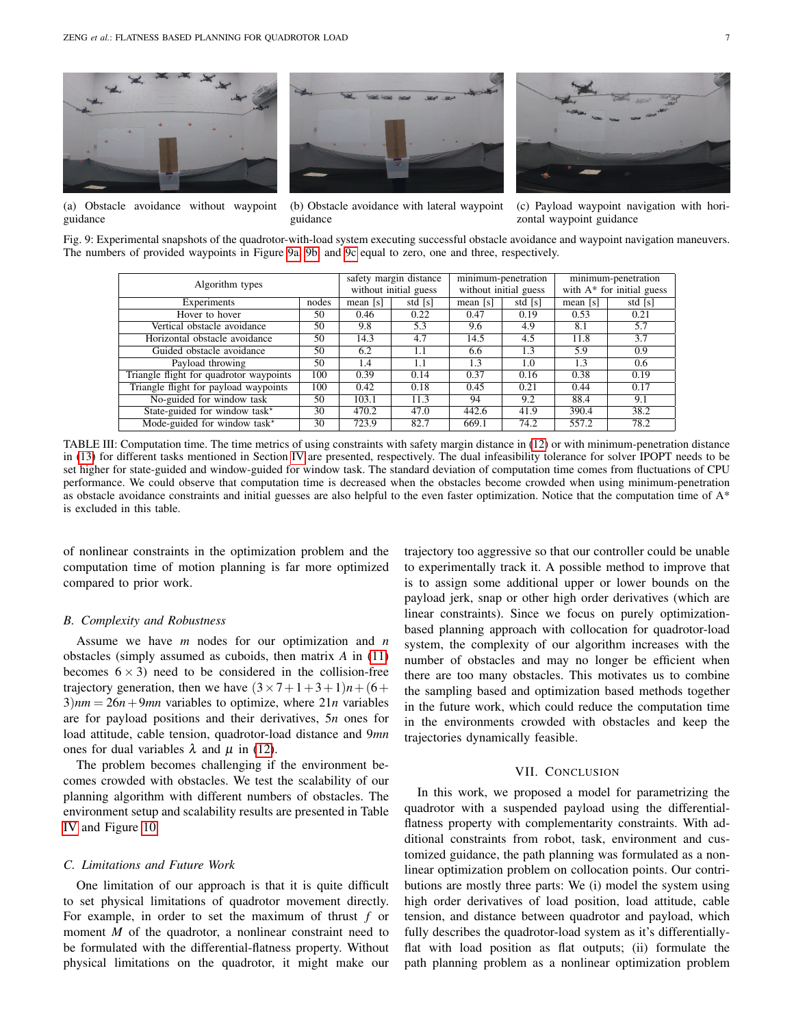<span id="page-6-1"></span>

(a) Obstacle avoidance without waypoint

guidance



(b) Obstacle avoidance with lateral waypoint guidance



(c) Payload waypoint navigation with horizontal waypoint guidance

<span id="page-6-2"></span>Fig. 9: Experimental snapshots of the quadrotor-with-load system executing successful obstacle avoidance and waypoint navigation maneuvers. The numbers of provided waypoints in Figure [9a, 9b,](#page-6-1) and [9c](#page-6-1) equal to zero, one and three, respectively.

|                                          |       | safety margin distance |         | minimum-penetration   | minimum-penetration          |          |         |
|------------------------------------------|-------|------------------------|---------|-----------------------|------------------------------|----------|---------|
| Algorithm types                          |       | without initial guess  |         | without initial guess | with $A^*$ for initial guess |          |         |
| Experiments                              | nodes | mean $[s]$             | std [s] | mean $[s]$            | std [s]                      | mean [s] | std [s] |
| Hover to hover                           | 50    | 0.46                   | 0.22    | 0.47                  | 0.19                         | 0.53     | 0.21    |
| Vertical obstacle avoidance              | 50    | 9.8                    | 5.3     | 9.6                   | 4.9                          | 8.1      | 5.7     |
| Horizontal obstacle avoidance            | 50    | 14.3                   | 4.7     | 14.5                  | 4.5                          | 11.8     | 3.7     |
| Guided obstacle avoidance                | 50    | 6.2                    | 1.1     | 6.6                   | 1.3                          | 5.9      | 0.9     |
| Payload throwing                         | 50    | 1.4                    | 1.1     | 1.3                   | 1.0                          | 1.3      | 0.6     |
| Triangle flight for quadrotor waypoints  | 100   | 0.39                   | 0.14    | 0.37                  | 0.16                         | 0.38     | 0.19    |
| Triangle flight for payload waypoints    | 100   | 0.42                   | 0.18    | 0.45                  | 0.21                         | 0.44     | 0.17    |
| No-guided for window task                | 50    | 103.1                  | 11.3    | 94                    | 9.2                          | 88.4     | 9.1     |
| State-guided for window task*            | 30    | 470.2                  | 47.0    | 442.6                 | 41.9                         | 390.4    | 38.2    |
| Mode-guided for window task <sup>*</sup> | 30    | 723.9                  | 82.7    | 669.1                 | 74.2                         | 557.2    | 78.2    |

TABLE III: Computation time. The time metrics of using constraints with safety margin distance in [\(12\)](#page-2-1) or with minimum-penetration distance in [\(13\)](#page-2-2) for different tasks mentioned in Section [IV](#page-4-0) are presented, respectively. The dual infeasibility tolerance for solver IPOPT needs to be set higher for state-guided and window-guided for window task. The standard deviation of computation time comes from fluctuations of CPU performance. We could observe that computation time is decreased when the obstacles become crowded when using minimum-penetration as obstacle avoidance constraints and initial guesses are also helpful to the even faster optimization. Notice that the computation time of  $A^*$ is excluded in this table.

of nonlinear constraints in the optimization problem and the computation time of motion planning is far more optimized compared to prior work.

#### *B. Complexity and Robustness*

Assume we have *m* nodes for our optimization and *n* obstacles (simply assumed as cuboids, then matrix *A* in [\(11\)](#page-2-4) becomes  $6 \times 3$ ) need to be considered in the collision-free trajectory generation, then we have  $(3 \times 7 + 1 + 3 + 1)n + (6 +$  $3\mu m = 26n + 9mn$  variables to optimize, where  $21n$  variables are for payload positions and their derivatives, 5*n* ones for load attitude, cable tension, quadrotor-load distance and 9*mn* ones for dual variables  $\lambda$  and  $\mu$  in [\(12\)](#page-2-1).

The problem becomes challenging if the environment becomes crowded with obstacles. We test the scalability of our planning algorithm with different numbers of obstacles. The environment setup and scalability results are presented in Table [IV](#page-7-16) and Figure [10.](#page-7-17)

#### *C. Limitations and Future Work*

One limitation of our approach is that it is quite difficult to set physical limitations of quadrotor movement directly. For example, in order to set the maximum of thrust *f* or moment *M* of the quadrotor, a nonlinear constraint need to be formulated with the differential-flatness property. Without physical limitations on the quadrotor, it might make our

trajectory too aggressive so that our controller could be unable to experimentally track it. A possible method to improve that is to assign some additional upper or lower bounds on the payload jerk, snap or other high order derivatives (which are linear constraints). Since we focus on purely optimizationbased planning approach with collocation for quadrotor-load system, the complexity of our algorithm increases with the number of obstacles and may no longer be efficient when there are too many obstacles. This motivates us to combine the sampling based and optimization based methods together in the future work, which could reduce the computation time in the environments crowded with obstacles and keep the trajectories dynamically feasible.

## VII. CONCLUSION

<span id="page-6-0"></span>In this work, we proposed a model for parametrizing the quadrotor with a suspended payload using the differentialflatness property with complementarity constraints. With additional constraints from robot, task, environment and customized guidance, the path planning was formulated as a nonlinear optimization problem on collocation points. Our contributions are mostly three parts: We (i) model the system using high order derivatives of load position, load attitude, cable tension, and distance between quadrotor and payload, which fully describes the quadrotor-load system as it's differentiallyflat with load position as flat outputs; (ii) formulate the path planning problem as a nonlinear optimization problem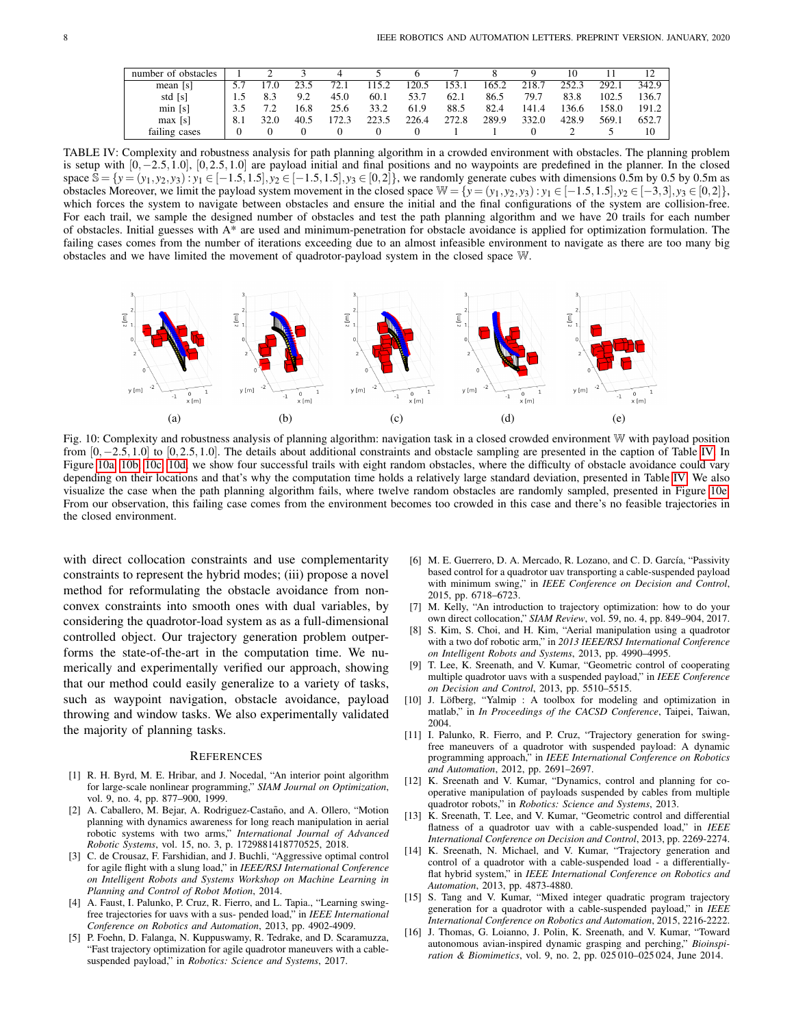<span id="page-7-16"></span>

| number of obstacles |     |      |      |       |       |       |       |       |       |       |       |       |
|---------------------|-----|------|------|-------|-------|-------|-------|-------|-------|-------|-------|-------|
| mean [s]            |     | 7.0  |      | 72.1  | 15.2  | 120.5 | 153.1 | 165.2 | 218.7 | 252.3 | 292.1 | 342.9 |
| std [s]             |     |      | 9.2  | 45.0  | 60.1  | 53.7  | 62.1  | 86.5  | 79.7  | 83.8  | 102.5 | 136.7 |
| min [s]             |     |      | 16.8 | 25.6  | 33.2  | 61.9  | 88.5  | 82.4  | 141.4 | '36.6 | 158.0 | 191.2 |
| max [s]             | 8.1 | 32.0 | 40.5 | .72.3 | 223.5 | 226.4 | 272.8 | 289.9 | 332.0 | 428.9 | 569.1 | 652.7 |
| failing cases       |     |      |      |       |       |       |       |       |       |       |       | 10    |

TABLE IV: Complexity and robustness analysis for path planning algorithm in a crowded environment with obstacles. The planning problem is setup with [0,−2.5,1.0], [0,2.5,1.0] are payload initial and final positions and no waypoints are predefined in the planner. In the closed space  $\hat{S} = \{y = (y_1, y_2, y_3) : y_1 \in [-1.5, 1.5], y_2 \in [-1.5, 1.5], y_3 \in [0, 2]\}$ , we randomly generate cubes with dimensions 0.5m by 0.5 by 0.5m as obstacles Moreover, we limit the payload system movement in the closed space  $\mathbb{W} = \{y = (y_1, y_2, y_3) : y_1 \in [-1.5, 1.5], y_2 \in [-3, 3], y_3 \in [0, 2]\}$ , which forces the system to navigate between obstacles and ensure the initial and the final configurations of the system are collision-free. For each trail, we sample the designed number of obstacles and test the path planning algorithm and we have 20 trails for each number of obstacles. Initial guesses with  $A^*$  are used and minimum-penetration for obstacle avoidance is applied for optimization formulation. The failing cases comes from the number of iterations exceeding due to an almost infeasible environment to navigate as there are too many big obstacles and we have limited the movement of quadrotor-payload system in the closed space W.

<span id="page-7-17"></span>

Fig. 10: Complexity and robustness analysis of planning algorithm: navigation task in a closed crowded environment W with payload position from [0,−2.5,1.0] to [0,2.5,1.0]. The details about additional constraints and obstacle sampling are presented in the caption of Table [IV.](#page-7-16) In Figure [10a, 10b, 10c, 10d,](#page-7-17) we show four successful trails with eight random obstacles, where the difficulty of obstacle avoidance could vary depending on their locations and that's why the computation time holds a relatively large standard deviation, presented in Table [IV.](#page-7-16) We also visualize the case when the path planning algorithm fails, where twelve random obstacles are randomly sampled, presented in Figure [10e.](#page-7-17) From our observation, this failing case comes from the environment becomes too crowded in this case and there's no feasible trajectories in the closed environment.

with direct collocation constraints and use complementarity constraints to represent the hybrid modes; (iii) propose a novel method for reformulating the obstacle avoidance from nonconvex constraints into smooth ones with dual variables, by considering the quadrotor-load system as as a full-dimensional controlled object. Our trajectory generation problem outperforms the state-of-the-art in the computation time. We numerically and experimentally verified our approach, showing that our method could easily generalize to a variety of tasks, such as waypoint navigation, obstacle avoidance, payload throwing and window tasks. We also experimentally validated the majority of planning tasks.

#### **REFERENCES**

- <span id="page-7-14"></span>[1] R. H. Byrd, M. E. Hribar, and J. Nocedal, "An interior point algorithm for large-scale nonlinear programming," *SIAM Journal on Optimization*, vol. 9, no. 4, pp. 877–900, 1999.
- <span id="page-7-11"></span>[2] A. Caballero, M. Bejar, A. Rodriguez-Castaño, and A. Ollero, "Motion planning with dynamics awareness for long reach manipulation in aerial robotic systems with two arms," *International Journal of Advanced Robotic Systems*, vol. 15, no. 3, p. 1729881418770525, 2018.
- <span id="page-7-8"></span>[3] C. de Crousaz, F. Farshidian, and J. Buchli, "Aggressive optimal control for agile flight with a slung load," in *IEEE/RSJ International Conference on Intelligent Robots and Systems Workshop on Machine Learning in Planning and Control of Robot Motion*, 2014.
- <span id="page-7-2"></span>[4] A. Faust, I. Palunko, P. Cruz, R. Fierro, and L. Tapia., "Learning swingfree trajectories for uavs with a sus- pended load," in *IEEE International Conference on Robotics and Automation*, 2013, pp. 4902-4909.
- <span id="page-7-9"></span>[5] P. Foehn, D. Falanga, N. Kuppuswamy, R. Tedrake, and D. Scaramuzza, "Fast trajectory optimization for agile quadrotor maneuvers with a cablesuspended payload," in *Robotics: Science and Systems*, 2017.
- <span id="page-7-3"></span>[6] M. E. Guerrero, D. A. Mercado, R. Lozano, and C. D. García, "Passivity based control for a quadrotor uav transporting a cable-suspended payload with minimum swing," in *IEEE Conference on Decision and Control*, 2015, pp. 6718–6723.
- <span id="page-7-12"></span>[7] M. Kelly, "An introduction to trajectory optimization: how to do your own direct collocation," *SIAM Review*, vol. 59, no. 4, pp. 849–904, 2017.
- <span id="page-7-0"></span>[8] S. Kim, S. Choi, and H. Kim, "Aerial manipulation using a quadrotor with a two dof robotic arm," in *2013 IEEE/RSJ International Conference on Intelligent Robots and Systems*, 2013, pp. 4990–4995.
- <span id="page-7-5"></span>[9] T. Lee, K. Sreenath, and V. Kumar, "Geometric control of cooperating multiple quadrotor uavs with a suspended payload," in *IEEE Conference on Decision and Control*, 2013, pp. 5510–5515.
- <span id="page-7-15"></span>[10] J. Löfberg, "Yalmip : A toolbox for modeling and optimization in matlab," in *In Proceedings of the CACSD Conference*, Taipei, Taiwan, 2004.
- <span id="page-7-4"></span>[11] I. Palunko, R. Fierro, and P. Cruz, "Trajectory generation for swingfree maneuvers of a quadrotor with suspended payload: A dynamic programming approach," in *IEEE International Conference on Robotics and Automation*, 2012, pp. 2691–2697.
- <span id="page-7-6"></span>[12] K. Sreenath and V. Kumar, "Dynamics, control and planning for cooperative manipulation of payloads suspended by cables from multiple quadrotor robots," in *Robotics: Science and Systems*, 2013.
- <span id="page-7-13"></span>[13] K. Sreenath, T. Lee, and V. Kumar, "Geometric control and differential flatness of a quadrotor uav with a cable-suspended load," in *IEEE International Conference on Decision and Control*, 2013, pp. 2269-2274.
- <span id="page-7-7"></span>[14] K. Sreenath, N. Michael, and V. Kumar, "Trajectory generation and control of a quadrotor with a cable-suspended load - a differentiallyflat hybrid system," in *IEEE International Conference on Robotics and Automation*, 2013, pp. 4873-4880.
- <span id="page-7-10"></span>[15] S. Tang and V. Kumar, "Mixed integer quadratic program trajectory generation for a quadrotor with a cable-suspended payload," in *IEEE International Conference on Robotics and Automation*, 2015, 2216-2222.
- <span id="page-7-1"></span>[16] J. Thomas, G. Loianno, J. Polin, K. Sreenath, and V. Kumar, "Toward autonomous avian-inspired dynamic grasping and perching," *Bioinspiration & Biomimetics*, vol. 9, no. 2, pp. 025 010–025 024, June 2014.